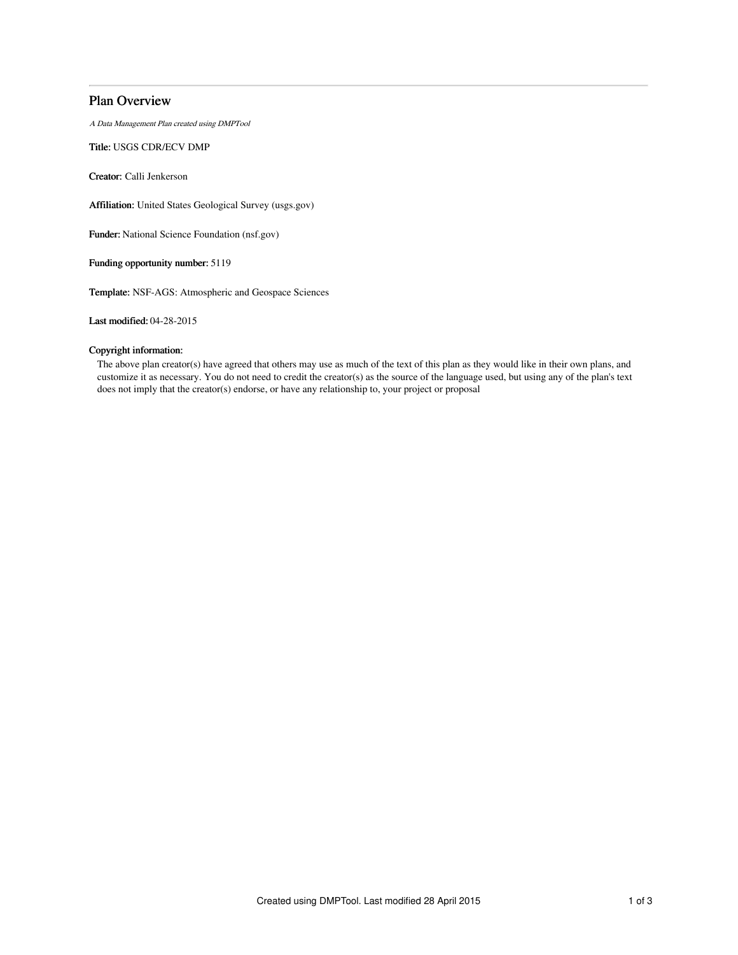## Plan Overview

A Data Management Plan created using DMPTool

Title: USGS CDR/ECV DMP

Creator: Calli Jenkerson

Affiliation: United States Geological Survey (usgs.gov)

Funder: National Science Foundation (nsf.gov)

Funding opportunity number: 5119

Template: NSF-AGS: Atmospheric and Geospace Sciences

Last modified: 04-28-2015

## Copyright information:

The above plan creator(s) have agreed that others may use as much of the text of this plan as they would like in their own plans, and customize it as necessary. You do not need to credit the creator(s) as the source of the language used, but using any of the plan's text does not imply that the creator(s) endorse, or have any relationship to, your project or proposal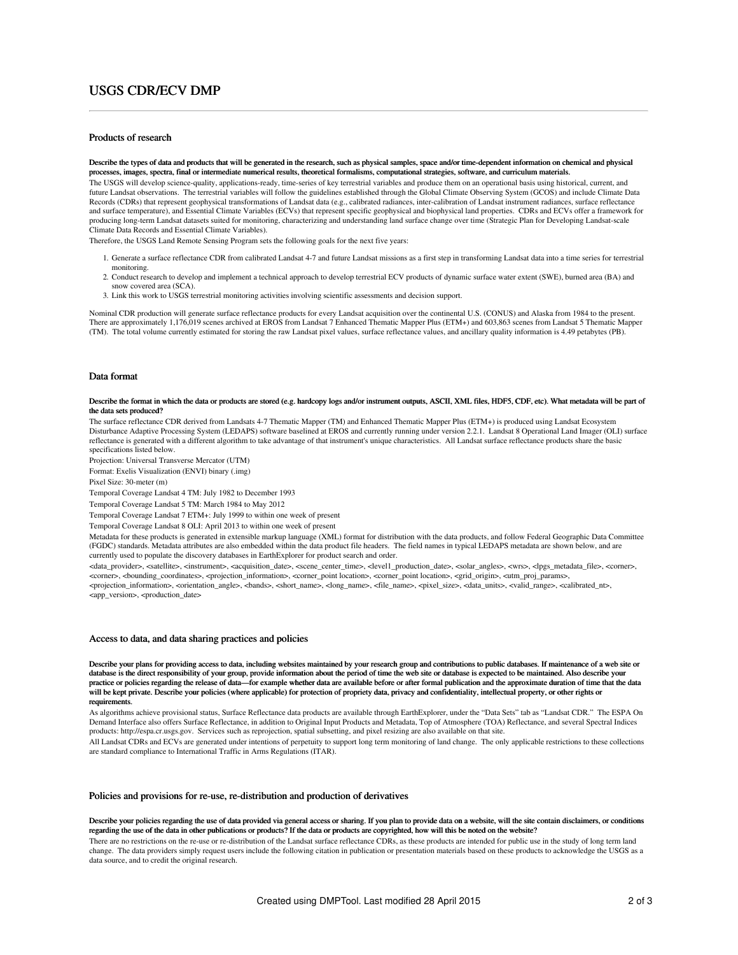# USGS CDR/ECV DMP

## Products of research

Describe the types of data and products that will be generated in the research, such as physical samples, space and/or time-dependent information on chemical and physical processes, images, spectra, final or intermediate numerical results, theoretical formalisms, computational strategies, software, and curriculum materials. The USGS will develop science-quality, applications-ready, time-series of key terrestrial variables and produce them on an operational basis using historical, current, and future Landsat observations. The terrestrial variables will follow the guidelines established through the Global Climate Observing System (GCOS) and include Climate Data Records (CDRs) that represent geophysical transformations of Landsat data (e.g., calibrated radiances, inter-calibration of Landsat instrument radiances, surface reflectance and surface temperature), and Essential Climate Variables (ECVs) that represent specific geophysical and biophysical land properties. CDRs and ECVs offer a framework for producing long-term Landsat datasets suited for monitoring, characterizing and understanding land surface change over time (Strategic Plan for Developing Landsat-scale Climate Data Records and Essential Climate Variables).

Therefore, the USGS Land Remote Sensing Program sets the following goals for the next five years:

- 1. Generate a surface reflectance CDR from calibrated Landsat 4-7 and future Landsat missions as a first step in transforming Landsat data into a time series for terrestrial monitoring.
- 2. Conduct research to develop and implement a technical approach to develop terrestrial ECV products of dynamic surface water extent (SWE), burned area (BA) and snow covered area (SCA).
- 3. Link this work to USGS terrestrial monitoring activities involving scientific assessments and decision support.

Nominal CDR production will generate surface reflectance products for every Landsat acquisition over the continental U.S. (CONUS) and Alaska from 1984 to the present. There are approximately 1,176,019 scenes archived at EROS from Landsat 7 Enhanced Thematic Mapper Plus (ETM+) and 603,863 scenes from Landsat 5 Thematic Mapper (TM). The total volume currently estimated for storing the raw Landsat pixel values, surface reflectance values, and ancillary quality information is 4.49 petabytes (PB).

### Data format

#### Describe the format in which the data or products are stored (e.g. hardcopy logs and/or instrument outputs, ASCII, XML files, HDF5, CDF, etc). What metadata will be part of the data sets produced?

The surface reflectance CDR derived from Landsats 4-7 Thematic Mapper (TM) and Enhanced Thematic Mapper Plus (ETM+) is produced using Landsat Ecosystem Disturbance Adaptive Processing System (LEDAPS) software baselined at EROS and currently running under version 2.2.1. Landsat 8 Operational Land Imager (OLI) surface reflectance is generated with a different algorithm to take advantage of that instrument's unique characteristics. All Landsat surface reflectance products share the basic specifications listed below.

Projection: Universal Transverse Mercator (UTM)

Format: Exelis Visualization (ENVI) binary (.img)

Pixel Size: 30-meter (m)

Temporal Coverage Landsat 4 TM: July 1982 to December 1993

Temporal Coverage Landsat 5 TM: March 1984 to May 2012

Temporal Coverage Landsat 7 ETM+: July 1999 to within one week of present

Temporal Coverage Landsat 8 OLI: April 2013 to within one week of present

Metadata for these products is generated in extensible markup language (XML) format for distribution with the data products, and follow Federal Geographic Data Committee (FGDC) standards. Metadata attributes are also embedded within the data product file headers. The field names in typical LEDAPS metadata are shown below, and are currently used to populate the discovery databases in EarthExplorer for product search and order.

<data\_provider>, <satellite>, <instrument>, <acquisition\_date>, <scene\_center\_time>, <level1\_production\_date>, <solar\_angles>, <wrs>, <lpgs\_metadata\_file>, <corner>, <corner>, <bounding\_coordinates>, <projection\_information>, <corner\_point location>, <corner\_point location>, <grid\_origin>, <utm\_proj\_params>, <projection\_information>, <orientation\_angle>, <bands>, <short\_name>, <long\_name>, <file\_name>, <pixel\_size>, <data\_units>, <valid\_range>, <calibrated\_nt>, <app\_version>, <production\_date>

#### Access to data, and data sharing practices and policies

Describe your plans for providing access to data, including websites maintained by your research group and contributions to public databases. If maintenance of a web site or database is the direct responsibility of your group, provide information about the period of time the web site or database is expected to be maintained. Also describe your practice or policies regarding the release of data—for example whether data are available before or after formal publication and the approximate duration of time that the data<br>will be kept private. Describe your policies ( requirements.

As algorithms achieve provisional status, Surface Reflectance data products are available through EarthExplorer, under the "Data Sets" tab as "Landsat CDR." The ESPA On Demand Interface also offers Surface Reflectance, in addition to Original Input Products and Metadata, Top of Atmosphere (TOA) Reflectance, and several Spectral Indices products: http://espa.cr.usgs.gov. Services such as reprojection, spatial subsetting, and pixel resizing are also available on that site.

All Landsat CDRs and ECVs are generated under intentions of perpetuity to support long term monitoring of land change. The only applicable restrictions to these collections are standard compliance to International Traffic in Arms Regulations (ITAR).

### Policies and provisions for re-use, re-distribution and production of derivatives

#### Describe your policies regarding the use of data provided via general access or sharing. If you plan to provide data on a website, will the site contain disclaimers, or conditions regarding the use of the data in other publications or products? If the data or products are copyrighted, how will this be noted on the website?

There are no restrictions on the re-use or re-distribution of the Landsat surface reflectance CDRs, as these products are intended for public use in the study of long term land change. The data providers simply request users include the following citation in publication or presentation materials based on these products to acknowledge the USGS as a data source, and to credit the original research.